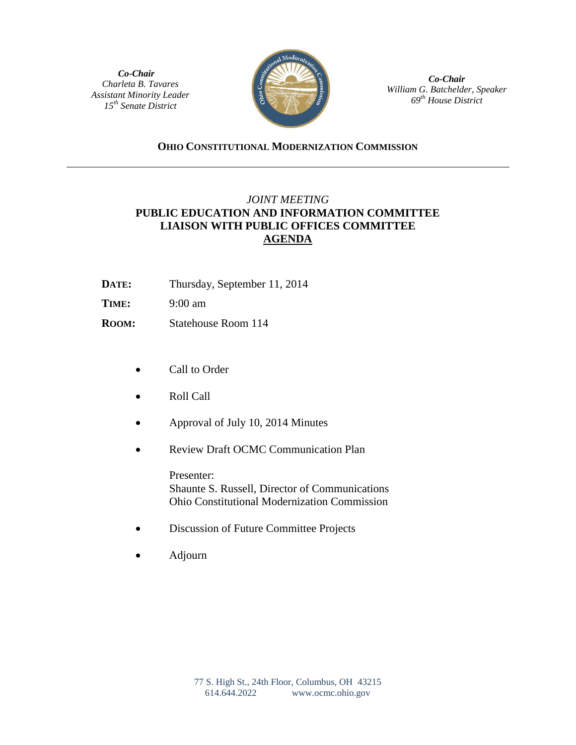*Co-Chair Charleta B. Tavares Assistant Minority Leader 15th Senate District*



*Co-Chair William G. Batchelder, Speaker 69th House District*

## **OHIO CONSTITUTIONAL MODERNIZATION COMMISSION**

## *JOINT MEETING*  **PUBLIC EDUCATION AND INFORMATION COMMITTEE LIAISON WITH PUBLIC OFFICES COMMITTEE AGENDA**

- **DATE:** Thursday, September 11, 2014
- **TIME:** 9:00 am
- **ROOM:** Statehouse Room 114
	- Call to Order
	- Roll Call
	- Approval of July 10, 2014 Minutes
	- Review Draft OCMC Communication Plan

Presenter: Shaunte S. Russell, Director of Communications Ohio Constitutional Modernization Commission

- Discussion of Future Committee Projects
- Adjourn